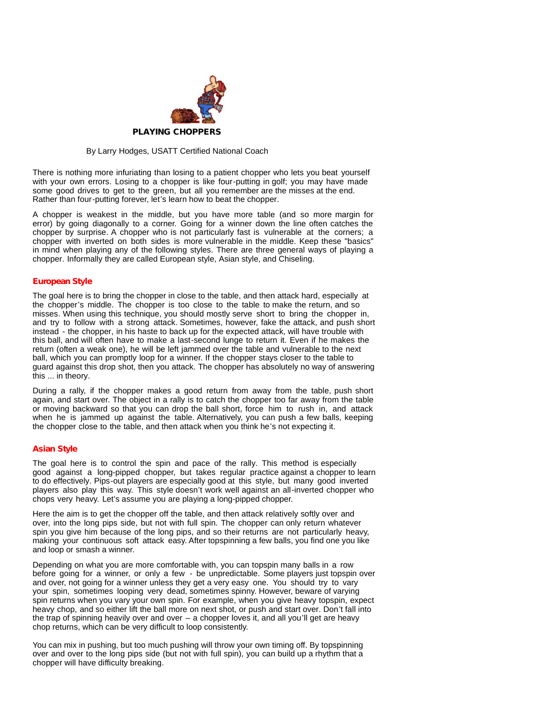

## By Larry Hodges, USATT Certified National Coach

There is nothing more infuriating than losing to a patient chopper who lets you beat yourself with your own errors. Losing to a chopper is like four-putting in golf; you may have made some good drives to get to the green, but all you remember are the misses at the end. Rather than four-putting forever, let's learn how to beat the chopper.

A chopper is weakest in the middle, but you have more table (and so more margin for error) by going diagonally to a corner. Going fora winner down the line often catches the chopper by surprise. A chopper who is not particularly fast is vulnerable at the corners; a chopper with inverted on both sides is more vulnerable in the middle. Keep these "basics" in mind when playing any of the following styles. There are three general ways of playing a chopper. Informally they are called European style, Asian style, and Chiseling.

## **European Style**

The goal here is to bring the chopper in close to the table, and then attack hard, especially at the chopper's middle. The chopper is too close to the table to make the return, and so misses. When using this technique, you should mostly serve short to bring the chopper in, and try to follow with a strong attack. Sometimes, however, fake the attack, and push short instead - the chopper, in his haste to back up for the expected attack, will have trouble with this ball, and will often have to make a last-second lunge to return it. Even if he makes the return (often a weak one), he will be left jammed over the table and vulnerable to the next ball, which you can promptly loop for a winner. If the chopper stays closer to the table to guard against this drop shot, then you attack. The chopper has absolutely no way of answering this ... in theory.

During a rally, if the chopper makes a good return from away from the table, push short again, and start over. The object in a rally is to catch the chopper too far away from the table or moving backward so thatyou can drop the ball short, force him to rush in, and attack when he is jammed up against the table. Alternatively, you can push a few balls, keeping the chopper close to the table, and then attack when you think he's not expecting it.

## **Asian Style**

The goal here is to control the spin and pace of the rally. This method is especially good against a long-pipped chopper, but takes regular practice against a chopper to learn to do effectively. Pips-out players are especially good at this style, but many good inverted players also play this way. This style doesn't work wellagainst an all-inverted chopper who chops very heavy. Let's assume you are playing a long-pipped chopper.

Here the aim is to get the chopper off the table, and then attack relatively softly over and over, into the long pips side, but not with full spin. The chopper can only return whatever spin you give him because of the long pips, and so their returns are not particularly heavy, making your continuous soft attack easy. After topspinning a few balls, you find one you like and loop or smash a winner.

Depending on what you are more comfortable with, you can topspin many balls in a row before going for a winner, or only a few - be unpredictable. Some players just topspin over and over, not going for a winner unless they geta very easy one. You should try to vary your spin, sometimes looping very dead, sometimes spinny. However, beware of varying spin returns when you vary your own spin. For example, when you give heavy topspin, expect heavy chop, and so either lift the ball more on next shot, or push and start over. Don't fall into the trap of spinning heavily over and over  $-$  a chopper loves it, and all you'll get are heavy chop returns, which can be very difficult to loop consistently.

You can mix in pushing, but too much pushing will throw your own timing off. By topspinning over and over to the long pips side (but not with full spin), you can build up a rhythm that a chopper will have difficulty breaking.